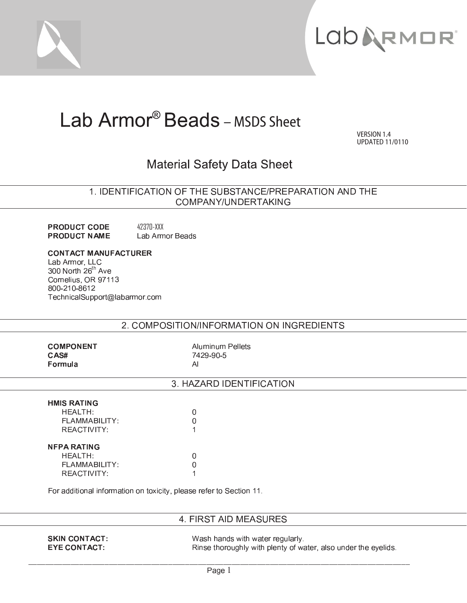



# Lab Armor<sup>®</sup> Beads - MSDS Sheet

VERSION 1.4 **UPDATED 11/0110** 

## **Material Safety Data Sheet**

1. IDENTIFICATION OF THE SUBSTANCE/PREPARATION AND THE COMPANY/UNDERTAKING

42370-XXX **PRODUCT CODE PRODUCT NAME** Lab Armor Beads

**CONTACT MANUFACTURER** Lab Armor, LLC 300 North 26<sup>th</sup> Ave Cornelius, OR 97113 800-210-8612 TechnicalSupport@labarmor.com

## 2. COMPOSITION/INFORMATION ON INGREDIENTS

**COMPONENT** CAS# Formula

**Aluminum Pellets** 7429-90-5  $AI$ 

 $\Omega$ 

 $\Omega$ 

1

 $\mathbf 0$ 

 $\overline{0}$ 

 $\overline{1}$ 

## 3. HAZARD IDENTIFICATION

#### **HMIS RATING HEALTH:**

FLAMMABILITY: REACTIVITY: **NFPA RATING** 

HEALTH: FLAMMABILITY: REACTIVITY:

For additional information on toxicity, please refer to Section 11.

## 4. FIRST AID MEASURES

**SKIN CONTACT: EYE CONTACT:** 

Wash hands with water regularly. Rinse thoroughly with plenty of water, also under the eyelids.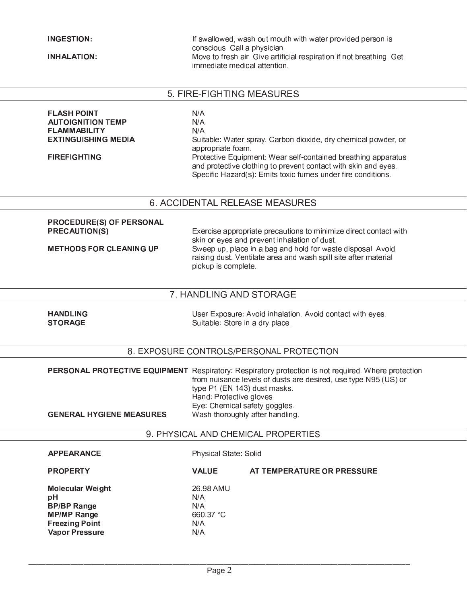#### **INGESTION:**

**INHALATION:** 

If swallowed, wash out mouth with water provided person is conscious Call a physician. Move to fresh air. Give artificial respiration if not breathing. Get immediate medical attention.

#### 5. FIRE-FIGHTING MEASURES

**FLASH POINT**  $N/A$ **AUTOIGNITION TEMP**  $N/A$ **FLAMMABILITY**  $N/A$ **EXTINGUISHING MEDIA** Suitable: Water spray. Carbon dioxide, dry chemical powder, or appropriate foam. **FIREFIGHTING** Protective Equipment: Wear self-contained breathing apparatus and protective clothing to prevent contact with skin and eyes. Specific Hazard(s): Emits toxic fumes under fire conditions.

#### 6. ACCIDENTAL RELEASE MEASURES

#### PROCEDURE(S) OF PERSONAL **PRECAUTION(S)**

**METHODS FOR CLEANING UP** 

Exercise appropriate precautions to minimize direct contact with skin or eyes and prevent inhalation of dust. Sweep up, place in a bag and hold for waste disposal. Avoid raising dust. Ventilate area and wash spill site after material pickup is complete.

#### 7. HANDLING AND STORAGE

**HANDLING STORAGE** 

User Exposure: Avoid inhalation. Avoid contact with eyes. Suitable: Store in a dry place.

AT TEMPERATURE OR PRESSURE

#### 8. EXPOSURE CONTROLS/PERSONAL PROTECTION

PERSONAL PROTECTIVE EQUIPMENT Respiratory: Respiratory protection is not required. Where protection from nuisance levels of dusts are desired, use type N95 (US) or type P1 (EN 143) dust masks. Hand: Protective gloves. Eye: Chemical safety goggles. **GENERAL HYGIENE MEASURES** Wash thoroughly after handling.

9. PHYSICAL AND CHEMICAL PROPERTIES

#### **APPEARANCE**

**PROPERTY** 

Physical State: Solid

**Molecular Weight** pH **BP/BP Range MP/MP Range Freezing Point Vapor Pressure** 

26.98 AMU  $N/A$  $N/A$ 660.37 °C  $N/A$ 

**VALUE** 

 $N/A$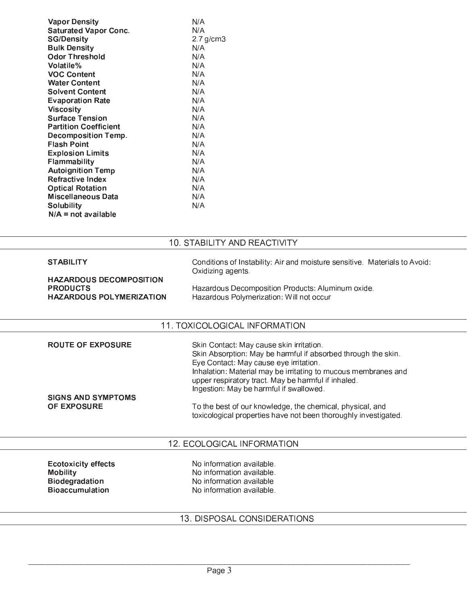| <b>Vapor Density</b>         | N/A            |
|------------------------------|----------------|
| <b>Saturated Vapor Conc.</b> | N/A            |
| <b>SG/Density</b>            | $2.7$ g/cm $3$ |
| <b>Bulk Density</b>          | N/A            |
| <b>Odor Threshold</b>        | N/A            |
| Volatile%                    | N/A            |
| <b>VOC Content</b>           | N/A            |
| <b>Water Content</b>         | N/A            |
| <b>Solvent Content</b>       | N/A            |
| <b>Evaporation Rate</b>      | N/A            |
| Viscosity                    | N/A            |
| <b>Surface Tension</b>       | N/A            |
| <b>Partition Coefficient</b> | N/A            |
| Decomposition Temp.          | N/A            |
| Flash Point                  | N/A            |
| <b>Explosion Limits</b>      | N/A            |
| Flammability                 | N/A            |
| <b>Autoignition Temp</b>     | N/A            |
| <b>Refractive Index</b>      | N/A            |
| <b>Optical Rotation</b>      | N/A            |
| Miscellaneous Data           | N/A            |
| <b>Solubility</b>            | N/A            |
| $N/A$ = not available        |                |

## 10. STABILITY AND REACTIVITY

| <b>STABILITY</b><br><b>HAZARDOUS DECOMPOSITION</b><br><b>PRODUCTS</b><br><b>HAZARDOUS POLYMERIZATION</b> | Conditions of Instability: Air and moisture sensitive. Materials to Avoid:<br>Oxidizing agents<br>Hazardous Decomposition Products: Aluminum oxide.<br>Hazardous Polymerization: Will not occur                                                                                                                                                                                                                                                         |  |
|----------------------------------------------------------------------------------------------------------|---------------------------------------------------------------------------------------------------------------------------------------------------------------------------------------------------------------------------------------------------------------------------------------------------------------------------------------------------------------------------------------------------------------------------------------------------------|--|
| 11. TOXICOLOGICAL INFORMATION                                                                            |                                                                                                                                                                                                                                                                                                                                                                                                                                                         |  |
| <b>ROUTE OF EXPOSURE</b><br><b>SIGNS AND SYMPTOMS</b><br><b>OF EXPOSURE</b>                              | Skin Contact: May cause skin irritation.<br>Skin Absorption: May be harmful if absorbed through the skin.<br>Eye Contact: May cause eye irritation.<br>Inhalation: Material may be irritating to mucous membranes and<br>upper respiratory tract. May be harmful if inhaled.<br>Ingestion: May be harmful if swallowed.<br>To the best of our knowledge, the chemical, physical, and<br>toxicological properties have not been thoroughly investigated. |  |
| 12. ECOLOGICAL INFORMATION                                                                               |                                                                                                                                                                                                                                                                                                                                                                                                                                                         |  |
| <b>Ecotoxicity effects</b><br><b>Mobility</b><br><b>Biodegradation</b><br><b>Bioaccumulation</b>         | No information available.<br>No information available.<br>No information available<br>No information available.                                                                                                                                                                                                                                                                                                                                         |  |

## 13. DISPOSAL CONSIDERATIONS